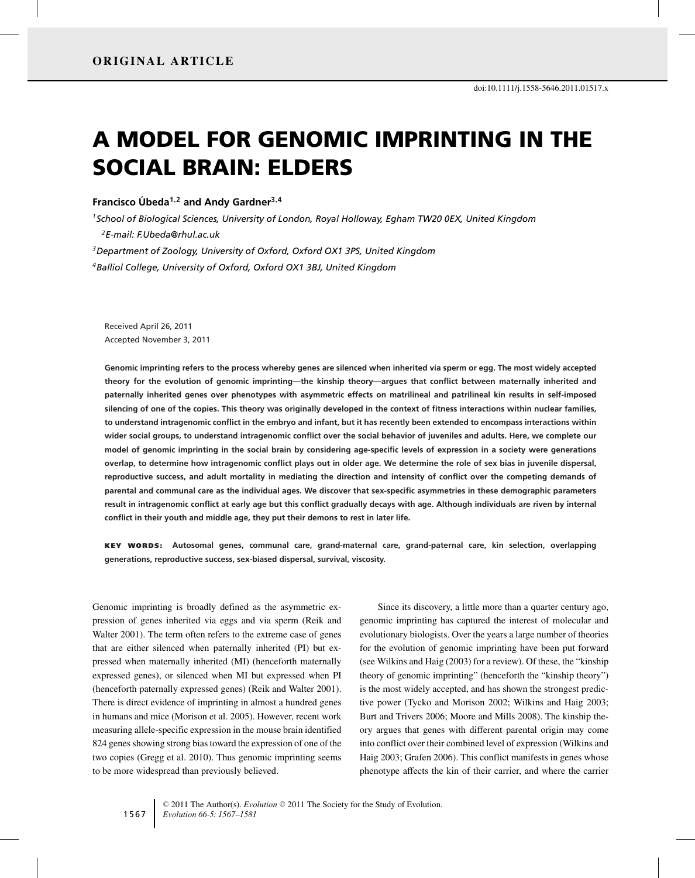# **A MODEL FOR GENOMIC IMPRINTING IN THE SOCIAL BRAIN: ELDERS**

## **Francisco Ubeda ´ <sup>1</sup>,<sup>2</sup> and Andy Gardner3,<sup>4</sup>**

*1School of Biological Sciences, University of London, Royal Holloway, Egham TW20 0EX, United Kingdom 2E-mail: F.Ubeda@rhul.ac.uk*

*3Department of Zoology, University of Oxford, Oxford OX1 3PS, United Kingdom 4Balliol College, University of Oxford, Oxford OX1 3BJ, United Kingdom*

Received April 26, 2011 Accepted November 3, 2011

**Genomic imprinting refers to the process whereby genes are silenced when inherited via sperm or egg. The most widely accepted theory for the evolution of genomic imprinting—the kinship theory—argues that conflict between maternally inherited and paternally inherited genes over phenotypes with asymmetric effects on matrilineal and patrilineal kin results in self-imposed silencing of one of the copies. This theory was originally developed in the context of fitness interactions within nuclear families, to understand intragenomic conflict in the embryo and infant, but it has recently been extended to encompass interactions within wider social groups, to understand intragenomic conflict over the social behavior of juveniles and adults. Here, we complete our model of genomic imprinting in the social brain by considering age-specific levels of expression in a society were generations overlap, to determine how intragenomic conflict plays out in older age. We determine the role of sex bias in juvenile dispersal, reproductive success, and adult mortality in mediating the direction and intensity of conflict over the competing demands of parental and communal care as the individual ages. We discover that sex-specific asymmetries in these demographic parameters result in intragenomic conflict at early age but this conflict gradually decays with age. Although individuals are riven by internal conflict in their youth and middle age, they put their demons to rest in later life.**

**KEY WORDS: Autosomal genes, communal care, grand-maternal care, grand-paternal care, kin selection, overlapping generations, reproductive success, sex-biased dispersal, survival, viscosity.**

Genomic imprinting is broadly defined as the asymmetric expression of genes inherited via eggs and via sperm (Reik and Walter 2001). The term often refers to the extreme case of genes that are either silenced when paternally inherited (PI) but expressed when maternally inherited (MI) (henceforth maternally expressed genes), or silenced when MI but expressed when PI (henceforth paternally expressed genes) (Reik and Walter 2001). There is direct evidence of imprinting in almost a hundred genes in humans and mice (Morison et al. 2005). However, recent work measuring allele-specific expression in the mouse brain identified 824 genes showing strong bias toward the expression of one of the two copies (Gregg et al. 2010). Thus genomic imprinting seems to be more widespread than previously believed.

Since its discovery, a little more than a quarter century ago, genomic imprinting has captured the interest of molecular and evolutionary biologists. Over the years a large number of theories for the evolution of genomic imprinting have been put forward (see Wilkins and Haig (2003) for a review). Of these, the "kinship theory of genomic imprinting" (henceforth the "kinship theory") is the most widely accepted, and has shown the strongest predictive power (Tycko and Morison 2002; Wilkins and Haig 2003; Burt and Trivers 2006; Moore and Mills 2008). The kinship theory argues that genes with different parental origin may come into conflict over their combined level of expression (Wilkins and Haig 2003; Grafen 2006). This conflict manifests in genes whose phenotype affects the kin of their carrier, and where the carrier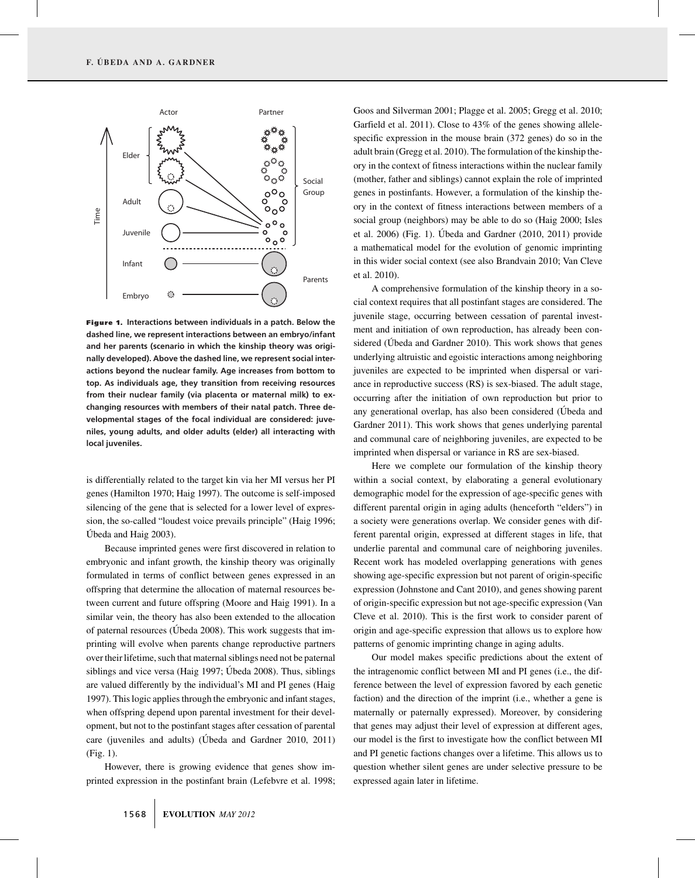

**Figure 1. Interactions between individuals in a patch. Below the dashed line, we represent interactions between an embryo/infant and her parents (scenario in which the kinship theory was originally developed). Above the dashed line, we represent social interactions beyond the nuclear family. Age increases from bottom to top. As individuals age, they transition from receiving resources from their nuclear family (via placenta or maternal milk) to exchanging resources with members of their natal patch. Three developmental stages of the focal individual are considered: juveniles, young adults, and older adults (elder) all interacting with local juveniles.**

is differentially related to the target kin via her MI versus her PI genes (Hamilton 1970; Haig 1997). The outcome is self-imposed silencing of the gene that is selected for a lower level of expression, the so-called "loudest voice prevails principle" (Haig 1996; Ubeda and Haig 2003).

Because imprinted genes were first discovered in relation to embryonic and infant growth, the kinship theory was originally formulated in terms of conflict between genes expressed in an offspring that determine the allocation of maternal resources between current and future offspring (Moore and Haig 1991). In a similar vein, the theory has also been extended to the allocation of paternal resources (Ubeda 2008). This work suggests that im- ´ printing will evolve when parents change reproductive partners over their lifetime, such that maternal siblings need not be paternal siblings and vice versa (Haig 1997; Úbeda 2008). Thus, siblings are valued differently by the individual's MI and PI genes (Haig 1997). This logic applies through the embryonic and infant stages, when offspring depend upon parental investment for their development, but not to the postinfant stages after cessation of parental care (juveniles and adults) (Úbeda and Gardner 2010, 2011) (Fig. 1).

However, there is growing evidence that genes show imprinted expression in the postinfant brain (Lefebvre et al. 1998; Goos and Silverman 2001; Plagge et al. 2005; Gregg et al. 2010; Garfield et al. 2011). Close to 43% of the genes showing allelespecific expression in the mouse brain (372 genes) do so in the adult brain (Gregg et al. 2010). The formulation of the kinship theory in the context of fitness interactions within the nuclear family (mother, father and siblings) cannot explain the role of imprinted genes in postinfants. However, a formulation of the kinship theory in the context of fitness interactions between members of a social group (neighbors) may be able to do so (Haig 2000; Isles et al. 2006) (Fig. 1). Ubeda and Gardner (2010, 2011) provide ´ a mathematical model for the evolution of genomic imprinting in this wider social context (see also Brandvain 2010; Van Cleve et al. 2010).

A comprehensive formulation of the kinship theory in a social context requires that all postinfant stages are considered. The juvenile stage, occurring between cessation of parental investment and initiation of own reproduction, has already been considered (Ubeda and Gardner 2010). This work shows that genes underlying altruistic and egoistic interactions among neighboring juveniles are expected to be imprinted when dispersal or variance in reproductive success (RS) is sex-biased. The adult stage, occurring after the initiation of own reproduction but prior to any generational overlap, has also been considered (Ubeda and Gardner 2011). This work shows that genes underlying parental and communal care of neighboring juveniles, are expected to be imprinted when dispersal or variance in RS are sex-biased.

Here we complete our formulation of the kinship theory within a social context, by elaborating a general evolutionary demographic model for the expression of age-specific genes with different parental origin in aging adults (henceforth "elders") in a society were generations overlap. We consider genes with different parental origin, expressed at different stages in life, that underlie parental and communal care of neighboring juveniles. Recent work has modeled overlapping generations with genes showing age-specific expression but not parent of origin-specific expression (Johnstone and Cant 2010), and genes showing parent of origin-specific expression but not age-specific expression (Van Cleve et al. 2010). This is the first work to consider parent of origin and age-specific expression that allows us to explore how patterns of genomic imprinting change in aging adults.

Our model makes specific predictions about the extent of the intragenomic conflict between MI and PI genes (i.e., the difference between the level of expression favored by each genetic faction) and the direction of the imprint (i.e., whether a gene is maternally or paternally expressed). Moreover, by considering that genes may adjust their level of expression at different ages, our model is the first to investigate how the conflict between MI and PI genetic factions changes over a lifetime. This allows us to question whether silent genes are under selective pressure to be expressed again later in lifetime.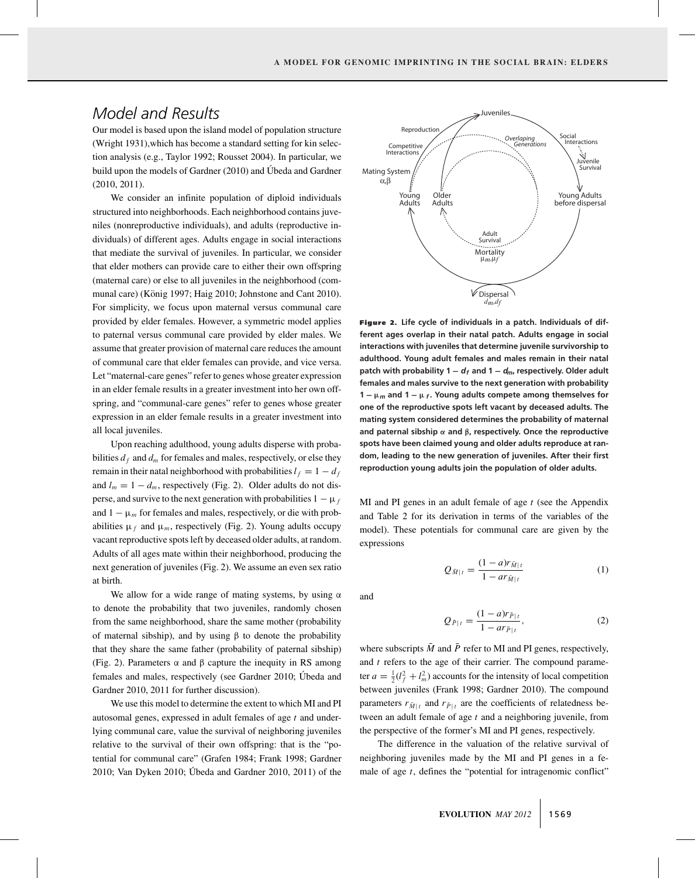# *Model and Results*

Our model is based upon the island model of population structure (Wright 1931),which has become a standard setting for kin selection analysis (e.g., Taylor 1992; Rousset 2004). In particular, we build upon the models of Gardner (2010) and Úbeda and Gardner (2010, 2011).

We consider an infinite population of diploid individuals structured into neighborhoods. Each neighborhood contains juveniles (nonreproductive individuals), and adults (reproductive individuals) of different ages. Adults engage in social interactions that mediate the survival of juveniles. In particular, we consider that elder mothers can provide care to either their own offspring (maternal care) or else to all juveniles in the neighborhood (communal care) (König 1997; Haig 2010; Johnstone and Cant 2010). For simplicity, we focus upon maternal versus communal care provided by elder females. However, a symmetric model applies to paternal versus communal care provided by elder males. We assume that greater provision of maternal care reduces the amount of communal care that elder females can provide, and vice versa. Let "maternal-care genes" refer to genes whose greater expression in an elder female results in a greater investment into her own offspring, and "communal-care genes" refer to genes whose greater expression in an elder female results in a greater investment into all local juveniles.

Upon reaching adulthood, young adults disperse with probabilities  $d_f$  and  $d_m$  for females and males, respectively, or else they remain in their natal neighborhood with probabilities  $l_f = 1 - d_f$ and  $l_m = 1 - d_m$ , respectively (Fig. 2). Older adults do not disperse, and survive to the next generation with probabilities  $1 - \mu_f$ and  $1 - \mu_m$  for females and males, respectively, or die with probabilities  $\mu_f$  and  $\mu_m$ , respectively (Fig. 2). Young adults occupy vacant reproductive spots left by deceased older adults, at random. Adults of all ages mate within their neighborhood, producing the next generation of juveniles (Fig. 2). We assume an even sex ratio at birth.

We allow for a wide range of mating systems, by using  $\alpha$ to denote the probability that two juveniles, randomly chosen from the same neighborhood, share the same mother (probability of maternal sibship), and by using β to denote the probability that they share the same father (probability of paternal sibship) (Fig. 2). Parameters α and β capture the inequity in RS among females and males, respectively (see Gardner 2010; Úbeda and Gardner 2010, 2011 for further discussion).

We use this model to determine the extent to which MI and PI autosomal genes, expressed in adult females of age *t* and underlying communal care, value the survival of neighboring juveniles relative to the survival of their own offspring: that is the "potential for communal care" (Grafen 1984; Frank 1998; Gardner 2010; Van Dyken 2010; Úbeda and Gardner 2010, 2011) of the



**Figure 2. Life cycle of individuals in a patch. Individuals of different ages overlap in their natal patch. Adults engage in social interactions with juveniles that determine juvenile survivorship to adulthood. Young adult females and males remain in their natal patch with probability 1** −  $d_f$  and 1 −  $d_m$ , respectively. Older adult **females and males survive to the next generation with probability 1** −  $\mu$ <sup>*m*</sup> and **1** −  $\mu$ <sup>*f*</sup> *t***. Young adults compete among themselves for one of the reproductive spots left vacant by deceased adults. The mating system considered determines the probability of maternal and paternal sibship α and β, respectively. Once the reproductive spots have been claimed young and older adults reproduce at random, leading to the new generation of juveniles. After their first reproduction young adults join the population of older adults.**

MI and PI genes in an adult female of age *t* (see the Appendix and Table 2 for its derivation in terms of the variables of the model). These potentials for communal care are given by the expressions

$$
Q_{\bar{M}|t} = \frac{(1-a)r_{\bar{M}|t}}{1 - ar_{\bar{M}|t}} \tag{1}
$$

and

$$
Q_{\bar{P}|t} = \frac{(1-a)r_{\bar{P}|t}}{1 - ar_{\bar{P}|t}},
$$
\n(2)

where subscripts  $\overline{M}$  and  $\overline{P}$  refer to MI and PI genes, respectively, and *t* refers to the age of their carrier. The compound parameter  $a = \frac{1}{2}(l_f^2 + l_m^2)$  accounts for the intensity of local competition between juveniles (Frank 1998; Gardner 2010). The compound parameters  $r_{\bar{M}|t}$  and  $r_{\bar{P}|t}$  are the coefficients of relatedness between an adult female of age *t* and a neighboring juvenile, from the perspective of the former's MI and PI genes, respectively.

The difference in the valuation of the relative survival of neighboring juveniles made by the MI and PI genes in a female of age *t*, defines the "potential for intragenomic conflict"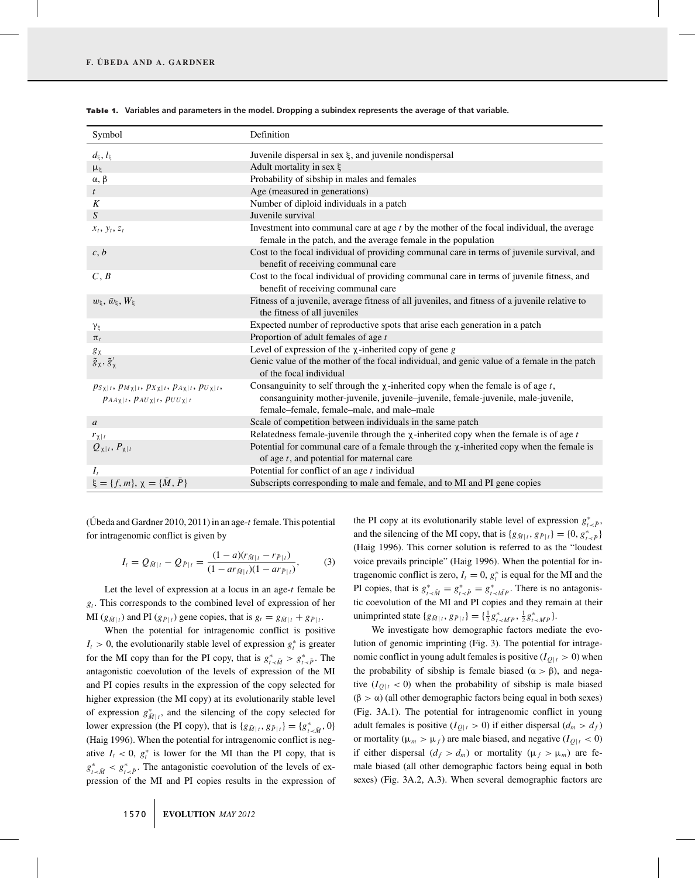| Symbol                                                                                                           | Definition                                                                                                                                                                                                              |
|------------------------------------------------------------------------------------------------------------------|-------------------------------------------------------------------------------------------------------------------------------------------------------------------------------------------------------------------------|
| $d_{\xi}, l_{\xi}$                                                                                               | Juvenile dispersal in sex $\xi$ , and juvenile nondispersal                                                                                                                                                             |
| $\mu_\xi$                                                                                                        | Adult mortality in sex $\xi$                                                                                                                                                                                            |
| $\alpha, \beta$                                                                                                  | Probability of sibship in males and females                                                                                                                                                                             |
| t                                                                                                                | Age (measured in generations)                                                                                                                                                                                           |
| K                                                                                                                | Number of diploid individuals in a patch                                                                                                                                                                                |
| S                                                                                                                | Juvenile survival                                                                                                                                                                                                       |
| $x_t$ , $y_t$ , $z_t$                                                                                            | Investment into communal care at age $t$ by the mother of the focal individual, the average<br>female in the patch, and the average female in the population                                                            |
| c, b                                                                                                             | Cost to the focal individual of providing communal care in terms of juvenile survival, and<br>benefit of receiving communal care                                                                                        |
| C, B                                                                                                             | Cost to the focal individual of providing communal care in terms of juvenile fitness, and<br>benefit of receiving communal care                                                                                         |
| $w_{\xi},\,\bar{w}_{\xi},\,W_{\xi}$                                                                              | Fitness of a juvenile, average fitness of all juveniles, and fitness of a juvenile relative to<br>the fitness of all juveniles                                                                                          |
| $\gamma_\xi$                                                                                                     | Expected number of reproductive spots that arise each generation in a patch                                                                                                                                             |
| $\pi_t$                                                                                                          | Proportion of adult females of age $t$                                                                                                                                                                                  |
| $g_{\chi}$                                                                                                       | Level of expression of the $\chi$ -inherited copy of gene g                                                                                                                                                             |
| $\tilde{g}_{\chi}, \tilde{g}'_{\chi}$                                                                            | Genic value of the mother of the focal individual, and genic value of a female in the patch<br>of the focal individual                                                                                                  |
| $p_{S\chi t}, p_{M\chi t}, p_{X\chi t}, p_{A\chi t}, p_{U\chi t},$<br>$p_{AA\chi t}, p_{AU\chi t}, p_{UU\chi t}$ | Consanguinity to self through the $\chi$ -inherited copy when the female is of age t,<br>consanguinity mother-juvenile, juvenile-juvenile, female-juvenile, male-juvenile,<br>female-female, female-male, and male-male |
| a                                                                                                                | Scale of competition between individuals in the same patch                                                                                                                                                              |
| $r_{\chi t}$                                                                                                     | Relatedness female-juvenile through the $\chi$ -inherited copy when the female is of age t                                                                                                                              |
| $Q_{\chi t}$ , $P_{\chi t}$                                                                                      | Potential for communal care of a female through the $\chi$ -inherited copy when the female is<br>of age $t$ , and potential for maternal care                                                                           |
| $I_t$                                                                                                            | Potential for conflict of an age $t$ individual                                                                                                                                                                         |
| $\xi = \{f, m\}, \chi = \{\bar{M}, \bar{P}\}\$                                                                   | Subscripts corresponding to male and female, and to MI and PI gene copies                                                                                                                                               |

**Table 1.** Variables and parameters in the model. Dropping a subindex represents the average of that variable.

(Úbeda and Gardner 2010, 2011) in an age-t female. This potential for intragenomic conflict is given by

$$
I_t = Q_{\bar{M}|t} - Q_{\bar{P}|t} = \frac{(1-a)(r_{\bar{M}|t} - r_{\bar{P}|t})}{(1 - ar_{\bar{M}|t})(1 - ar_{\bar{P}|t})},
$$
(3)

Let the level of expression at a locus in an age-*t* female be  $g_t$ . This corresponds to the combined level of expression of her MI ( $g_{\bar{M}|t}$ ) and PI ( $g_{\bar{P}|t}$ ) gene copies, that is  $g_t = g_{\bar{M}|t} + g_{\bar{P}|t}$ .

When the potential for intragenomic conflict is positive  $I_t > 0$ , the evolutionarily stable level of expression  $g_t^*$  is greater for the MI copy than for the PI copy, that is  $g^*_{t \prec \bar{M}} > g^*_{t \prec \bar{P}}$ . The antagonistic coevolution of the levels of expression of the MI and PI copies results in the expression of the copy selected for higher expression (the MI copy) at its evolutionarily stable level of expression  $g^*_{\bar{M}|t}$ , and the silencing of the copy selected for lower expression (the PI copy), that is  $\{g_{\bar{M}|t}, g_{\bar{P}|t}\} = \{g_{t\prec \bar{M}}^* , 0\}$ (Haig 1996). When the potential for intragenomic conflict is negative  $I_t < 0$ ,  $g_t^*$  is lower for the MI than the PI copy, that is  $g^*_{t\prec \bar{M}} < g^*_{t\prec \bar{P}}$ . The antagonistic coevolution of the levels of expression of the MI and PI copies results in the expression of

the PI copy at its evolutionarily stable level of expression  $g_{t\prec\bar{P}}^*$ , and the silencing of the MI copy, that is  $\{g_{\bar{M}|t}, g_{\bar{P}|t}\} = \{0, g^*_{t \prec \bar{P}}\}$ (Haig 1996). This corner solution is referred to as the "loudest voice prevails principle" (Haig 1996). When the potential for intragenomic conflict is zero,  $I_t = 0$ ,  $g_t^*$  is equal for the MI and the PI copies, that is  $g^*_{t \prec \bar{M}} = g^*_{t \prec \bar{M}P}$ . There is no antagonistic coevolution of the MI and PI copies and they remain at their unimprinted state  $\{g_{\bar{M}|t}, g_{\bar{P}|t}\} = \{\frac{1}{2}g_{t \prec \bar{M}P}^*, \frac{1}{2}g_{t \prec \bar{M}P}^*\}.$ 

We investigate how demographic factors mediate the evolution of genomic imprinting (Fig. 3). The potential for intragenomic conflict in young adult females is positive  $(I_{Q|t} > 0)$  when the probability of sibship is female biased ( $\alpha > \beta$ ), and negative  $(I_{Q|t} < 0)$  when the probability of sibship is male biased (β > α) (all other demographic factors being equal in both sexes) (Fig. 3A.1). The potential for intragenomic conflict in young adult females is positive  $(I_{Q|t} > 0)$  if either dispersal  $(d_m > d_f)$ or mortality ( $\mu_m > \mu_f$ ) are male biased, and negative ( $I_{Q|t} < 0$ ) if either dispersal  $(d_f > d_m)$  or mortality  $(\mu_f > \mu_m)$  are female biased (all other demographic factors being equal in both sexes) (Fig. 3A.2, A.3). When several demographic factors are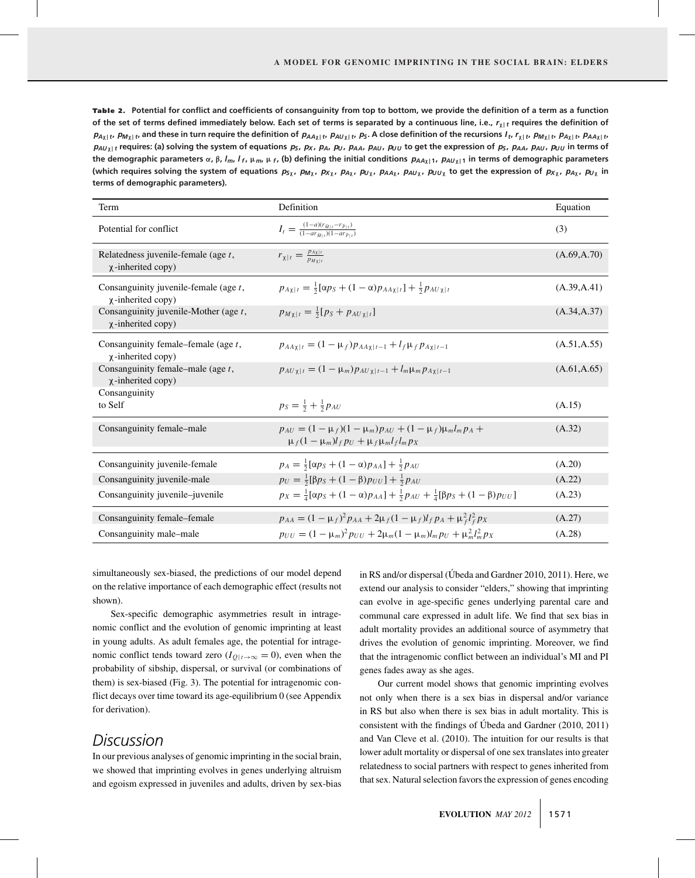Table 2. Potential for conflict and coefficients of consanguinity from top to bottom, we provide the definition of a term as a function **of the set of terms defined immediately below. Each set of terms is separated by a continuous line, i.e.,** *r***χ<sup>|</sup>** *<sup>t</sup>* **requires the definition of**  $p_{A\chi}|_t$ ,  $p_{M\chi}|_t$ , and these in turn require the definition of  $p_{A A\chi}|_t$ ,  $p_{A U\chi}|_t$ ,  $p_S$ . A close definition of the recursions  $I_t$ ,  $r_{\chi}|_t$ ,  $p_{M\chi}|_t$ ,  $p_{A\chi}|_t$ ,  $p_{A A\chi}|_t$ ,  $p_{A U \chi}|t$  requires: (a) solving the system of equations  $p_S$ ,  $p_X$ ,  $p_A$ ,  $p_U$ ,  $p_{A A}$ ,  $p_{A U}$ ,  $p_{U U}$  to get the expression of  $p_S$ ,  $p_{A A}$ ,  $p_{A U}$ ,  $p_{U U}$  in terms of the demographic parameters  $\alpha$ ,  $\beta$ ,  $I_m$ ,  $I_f$ ,  $\mu_m$ ,  $\mu_f$ , (b) defining the initial conditions  $p_{AA\chi|1}$ ,  $p_{AU\chi|1}$  in terms of demographic parameters (which requires solving the system of equations  $p_{S\chi}$ ,  $p_{M\chi}$ ,  $p_{X\chi}$ ,  $p_{A\chi}$ ,  $p_{U\chi}$ ,  $p_{A\chi}$ ,  $p_{A\chi}$ ,  $p_{U\chi}$  to get the expression of  $p_{X\chi}$ ,  $p_{A\chi}$ ,  $p_{U\chi}$  in **terms of demographic parameters).**

| Term                                                                | Definition                                                                                                                 | Equation     |
|---------------------------------------------------------------------|----------------------------------------------------------------------------------------------------------------------------|--------------|
| Potential for conflict                                              | $I_t = \frac{(1-a)(r_{\bar{M} t}-r_{\bar{P} t})}{(1-ar_{\bar{M} t})(1-ar_{\bar{P} t})}$                                    | (3)          |
| Relatedness juvenile-female (age t,<br>$\chi$ -inherited copy)      | $r_{\chi t} = \frac{p_{A\chi t}}{p_{M\chi t}}$                                                                             | (A.69, A.70) |
| Consanguinity juvenile-female (age $t$ ,<br>$\chi$ -inherited copy) | $p_{A\lambda t} = \frac{1}{2} [\alpha p_S + (1-\alpha) p_{A A\lambda t}] + \frac{1}{2} p_{A U\lambda t}$                   | (A.39, A.41) |
| Consanguinity juvenile-Mother (age $t$ ,<br>$\chi$ -inherited copy) | $p_{M\chi t} = \frac{1}{2}[p_S + p_{A U \chi t}]$                                                                          | (A.34, A.37) |
| Consanguinity female–female (age $t$ ,<br>$\chi$ -inherited copy)   | $p_{AAx t} = (1 - \mu_f) p_{AAx t-1} + l_f \mu_f p_{Ay t-1}$                                                               | (A.51, A.55) |
| Consanguinity female–male (age $t$ ,<br>$\chi$ -inherited copy)     | $p_{A U x   t} = (1 - \mu_m) p_{A U x   t-1} + l_m \mu_m p_{A x   t-1}$                                                    | (A.61, A.65) |
| Consanguinity<br>to Self                                            | $p_S = \frac{1}{2} + \frac{1}{2} p_{AU}$                                                                                   | (A.15)       |
| Consanguinity female–male                                           | $p_{AII} = (1 - \mu_f)(1 - \mu_m)p_{AU} + (1 - \mu_f)\mu_m l_m p_A +$<br>$\mu_f(1-\mu_m)l_f p_U + \mu_f \mu_m l_f l_m p_X$ | (A.32)       |
| Consanguinity juvenile-female                                       | $p_A = \frac{1}{2} [\alpha p_S + (1 - \alpha) p_{AA}] + \frac{1}{2} p_{AU}$                                                | (A.20)       |
| Consanguinity juvenile-male                                         | $p_U = \frac{1}{2} [\beta p_S + (1 - \beta) p_{UU}] + \frac{1}{2} p_{AU}$                                                  | (A.22)       |
| Consanguinity juvenile-juvenile                                     | $p_X = \frac{1}{4} [\alpha p_S + (1 - \alpha) p_{AA}] + \frac{1}{2} p_{AU} + \frac{1}{4} [\beta p_S + (1 - \beta) p_{UU}]$ | (A.23)       |
| Consanguinity female-female                                         | $p_{AA} = (1 - \mu_f)^2 p_{AA} + 2\mu_f (1 - \mu_f) l_f p_A + \mu_f^2 l_f^2 p_X$                                           | (A.27)       |
| Consanguinity male-male                                             | $p_{UU} = (1 - \mu_m)^2 p_{UU} + 2\mu_m(1 - \mu_m)l_m p_U + \mu_m^2 l_m^2 p_X$                                             | (A.28)       |

simultaneously sex-biased, the predictions of our model depend on the relative importance of each demographic effect (results not shown).

Sex-specific demographic asymmetries result in intragenomic conflict and the evolution of genomic imprinting at least in young adults. As adult females age, the potential for intragenomic conflict tends toward zero ( $I_{Q|t\to\infty} = 0$ ), even when the probability of sibship, dispersal, or survival (or combinations of them) is sex-biased (Fig. 3). The potential for intragenomic conflict decays over time toward its age-equilibrium 0 (see Appendix for derivation).

## *Discussion*

In our previous analyses of genomic imprinting in the social brain, we showed that imprinting evolves in genes underlying altruism and egoism expressed in juveniles and adults, driven by sex-bias in RS and/or dispersal (Ubeda and Gardner 2010, 2011). Here, we extend our analysis to consider "elders," showing that imprinting can evolve in age-specific genes underlying parental care and communal care expressed in adult life. We find that sex bias in adult mortality provides an additional source of asymmetry that drives the evolution of genomic imprinting. Moreover, we find that the intragenomic conflict between an individual's MI and PI genes fades away as she ages.

Our current model shows that genomic imprinting evolves not only when there is a sex bias in dispersal and/or variance in RS but also when there is sex bias in adult mortality. This is consistent with the findings of Úbeda and Gardner (2010, 2011) and Van Cleve et al. (2010). The intuition for our results is that lower adult mortality or dispersal of one sex translates into greater relatedness to social partners with respect to genes inherited from that sex. Natural selection favors the expression of genes encoding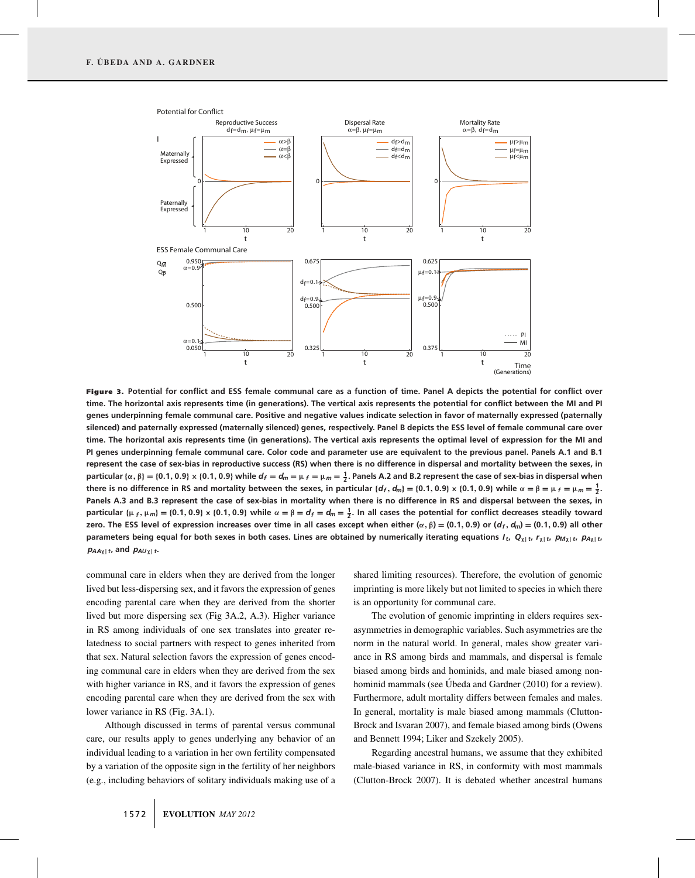

**Figure 3. Potential for conflict and ESS female communal care as a function of time. Panel A depicts the potential for conflict over time. The horizontal axis represents time (in generations). The vertical axis represents the potential for conflict between the MI and PI genes underpinning female communal care. Positive and negative values indicate selection in favor of maternally expressed (paternally silenced) and paternally expressed (maternally silenced) genes, respectively. Panel B depicts the ESS level of female communal care over time. The horizontal axis represents time (in generations). The vertical axis represents the optimal level of expression for the MI and PI genes underpinning female communal care. Color code and parameter use are equivalent to the previous panel. Panels A.1 and B.1 represent the case of sex-bias in reproductive success (RS) when there is no difference in dispersal and mortality between the sexes, in** particular { $\alpha$ ,  $\beta$ } = {0.1, 0.9} × {0.1, 0.9} while  $d_f = d_m = \mu_f = \mu_m = \frac{1}{2}$ . Panels A.2 and B.2 represent the case of sex-bias in dispersal when there is no difference in RS and mortality between the sexes, in particular { $d_f$ ,  $d_m$ } = {0.1, 0.9} x {0.1, 0.9} while  $\alpha = \beta = \mu_f = \mu_m = \frac{1}{2}$ . **Panels A.3 and B.3 represent the case of sex-bias in mortality when there is no difference in RS and dispersal between the sexes, in** particular { $\mu_f$ ,  $\mu_m$ } = {0.1, 0.9} × {0.1, 0.9} while  $\alpha = \beta = d_f = d_m = \frac{1}{2}$ . In all cases the potential for conflict decreases steadily toward zero. The ESS level of expression increases over time in all cases except when either ( $\alpha$ ,  $\beta$ ) = (0.1, 0.9) or ( $d_f$ ,  $d_m$ ) = (0.1, 0.9) all other parameters being equal for both sexes in both cases. Lines are obtained by numerically iterating equations  $I_t$ ,  $Q_{x|t}$ ,  $r_{x|t}$ ,  $p_{Mx|t}$ ,  $p_{Ax|t}$ ,  $p_{AA\chi}|t$ , and  $p_{AU\chi}|t$ .

communal care in elders when they are derived from the longer lived but less-dispersing sex, and it favors the expression of genes encoding parental care when they are derived from the shorter lived but more dispersing sex (Fig 3A.2, A.3). Higher variance in RS among individuals of one sex translates into greater relatedness to social partners with respect to genes inherited from that sex. Natural selection favors the expression of genes encoding communal care in elders when they are derived from the sex with higher variance in RS, and it favors the expression of genes encoding parental care when they are derived from the sex with lower variance in RS (Fig. 3A.1).

Although discussed in terms of parental versus communal care, our results apply to genes underlying any behavior of an individual leading to a variation in her own fertility compensated by a variation of the opposite sign in the fertility of her neighbors (e.g., including behaviors of solitary individuals making use of a shared limiting resources). Therefore, the evolution of genomic imprinting is more likely but not limited to species in which there is an opportunity for communal care.

The evolution of genomic imprinting in elders requires sexasymmetries in demographic variables. Such asymmetries are the norm in the natural world. In general, males show greater variance in RS among birds and mammals, and dispersal is female biased among birds and hominids, and male biased among nonhominid mammals (see Úbeda and Gardner  $(2010)$  for a review). Furthermore, adult mortality differs between females and males. In general, mortality is male biased among mammals (Clutton-Brock and Isvaran 2007), and female biased among birds (Owens and Bennett 1994; Liker and Szekely 2005).

Regarding ancestral humans, we assume that they exhibited male-biased variance in RS, in conformity with most mammals (Clutton-Brock 2007). It is debated whether ancestral humans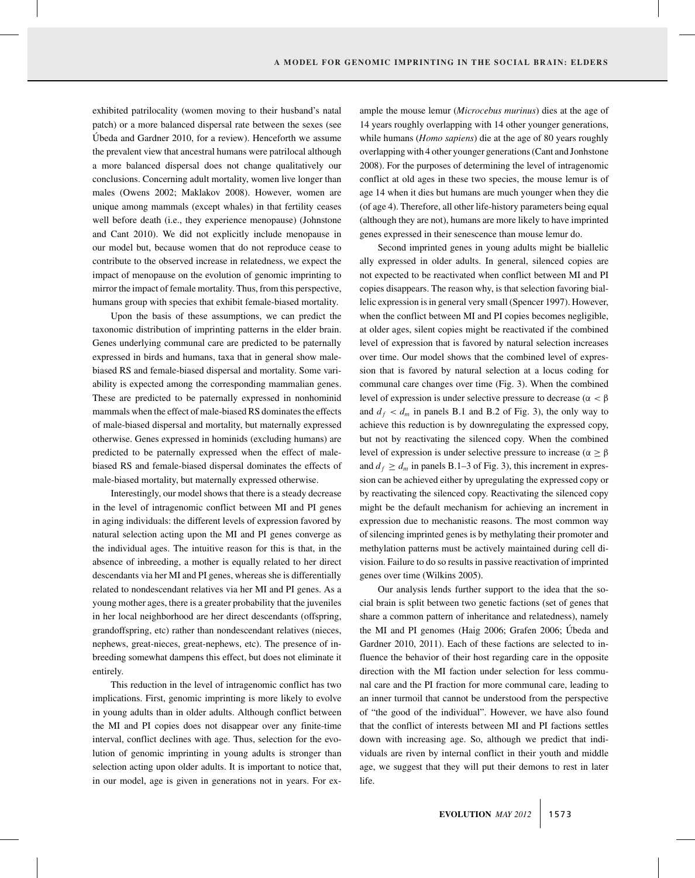exhibited patrilocality (women moving to their husband's natal patch) or a more balanced dispersal rate between the sexes (see Ubeda and Gardner 2010, for a review). Henceforth we assume ´ the prevalent view that ancestral humans were patrilocal although a more balanced dispersal does not change qualitatively our conclusions. Concerning adult mortality, women live longer than males (Owens 2002; Maklakov 2008). However, women are unique among mammals (except whales) in that fertility ceases well before death (i.e., they experience menopause) (Johnstone and Cant 2010). We did not explicitly include menopause in our model but, because women that do not reproduce cease to contribute to the observed increase in relatedness, we expect the impact of menopause on the evolution of genomic imprinting to mirror the impact of female mortality. Thus, from this perspective, humans group with species that exhibit female-biased mortality.

Upon the basis of these assumptions, we can predict the taxonomic distribution of imprinting patterns in the elder brain. Genes underlying communal care are predicted to be paternally expressed in birds and humans, taxa that in general show malebiased RS and female-biased dispersal and mortality. Some variability is expected among the corresponding mammalian genes. These are predicted to be paternally expressed in nonhominid mammals when the effect of male-biased RS dominates the effects of male-biased dispersal and mortality, but maternally expressed otherwise. Genes expressed in hominids (excluding humans) are predicted to be paternally expressed when the effect of malebiased RS and female-biased dispersal dominates the effects of male-biased mortality, but maternally expressed otherwise.

Interestingly, our model shows that there is a steady decrease in the level of intragenomic conflict between MI and PI genes in aging individuals: the different levels of expression favored by natural selection acting upon the MI and PI genes converge as the individual ages. The intuitive reason for this is that, in the absence of inbreeding, a mother is equally related to her direct descendants via her MI and PI genes, whereas she is differentially related to nondescendant relatives via her MI and PI genes. As a young mother ages, there is a greater probability that the juveniles in her local neighborhood are her direct descendants (offspring, grandoffspring, etc) rather than nondescendant relatives (nieces, nephews, great-nieces, great-nephews, etc). The presence of inbreeding somewhat dampens this effect, but does not eliminate it entirely.

This reduction in the level of intragenomic conflict has two implications. First, genomic imprinting is more likely to evolve in young adults than in older adults. Although conflict between the MI and PI copies does not disappear over any finite-time interval, conflict declines with age. Thus, selection for the evolution of genomic imprinting in young adults is stronger than selection acting upon older adults. It is important to notice that, in our model, age is given in generations not in years. For ex-

ample the mouse lemur (*Microcebus murinus*) dies at the age of 14 years roughly overlapping with 14 other younger generations, while humans (*Homo sapiens*) die at the age of 80 years roughly overlapping with 4 other younger generations (Cant and Jonhstone 2008). For the purposes of determining the level of intragenomic conflict at old ages in these two species, the mouse lemur is of age 14 when it dies but humans are much younger when they die (of age 4). Therefore, all other life-history parameters being equal (although they are not), humans are more likely to have imprinted genes expressed in their senescence than mouse lemur do.

Second imprinted genes in young adults might be biallelic ally expressed in older adults. In general, silenced copies are not expected to be reactivated when conflict between MI and PI copies disappears. The reason why, is that selection favoring biallelic expression is in general very small (Spencer 1997). However, when the conflict between MI and PI copies becomes negligible, at older ages, silent copies might be reactivated if the combined level of expression that is favored by natural selection increases over time. Our model shows that the combined level of expression that is favored by natural selection at a locus coding for communal care changes over time (Fig. 3). When the combined level of expression is under selective pressure to decrease (α < β and  $d_f < d_m$  in panels B.1 and B.2 of Fig. 3), the only way to achieve this reduction is by downregulating the expressed copy, but not by reactivating the silenced copy. When the combined level of expression is under selective pressure to increase ( $\alpha \geq \beta$ ) and  $d_f \ge d_m$  in panels B.1–3 of Fig. 3), this increment in expression can be achieved either by upregulating the expressed copy or by reactivating the silenced copy. Reactivating the silenced copy might be the default mechanism for achieving an increment in expression due to mechanistic reasons. The most common way of silencing imprinted genes is by methylating their promoter and methylation patterns must be actively maintained during cell division. Failure to do so results in passive reactivation of imprinted genes over time (Wilkins 2005).

Our analysis lends further support to the idea that the social brain is split between two genetic factions (set of genes that share a common pattern of inheritance and relatedness), namely the MI and PI genomes (Haig 2006; Grafen 2006; Úbeda and Gardner 2010, 2011). Each of these factions are selected to influence the behavior of their host regarding care in the opposite direction with the MI faction under selection for less communal care and the PI fraction for more communal care, leading to an inner turmoil that cannot be understood from the perspective of "the good of the individual". However, we have also found that the conflict of interests between MI and PI factions settles down with increasing age. So, although we predict that individuals are riven by internal conflict in their youth and middle age, we suggest that they will put their demons to rest in later life.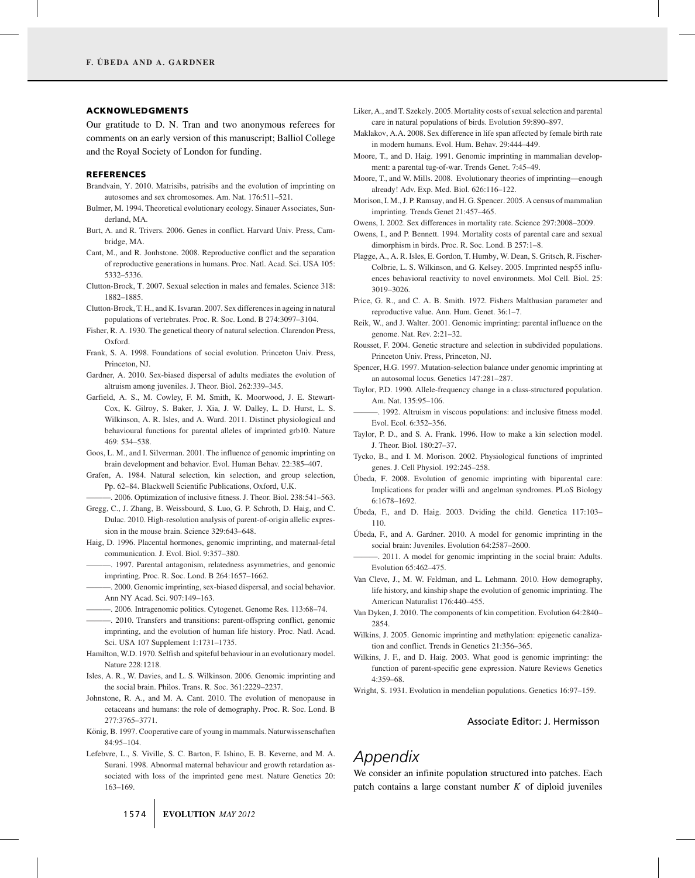#### **ACKNOWLEDGMENTS**

Our gratitude to D. N. Tran and two anonymous referees for comments on an early version of this manuscript; Balliol College and the Royal Society of London for funding.

#### **REFERENCES**

- Brandvain, Y. 2010. Matrisibs, patrisibs and the evolution of imprinting on autosomes and sex chromosomes. Am. Nat. 176:511–521.
- Bulmer, M. 1994. Theoretical evolutionary ecology. Sinauer Associates, Sunderland, MA.
- Burt, A. and R. Trivers. 2006. Genes in conflict. Harvard Univ. Press, Cambridge, MA.
- Cant, M., and R. Jonhstone. 2008. Reproductive conflict and the separation of reproductive generations in humans. Proc. Natl. Acad. Sci. USA 105: 5332–5336.
- Clutton-Brock, T. 2007. Sexual selection in males and females. Science 318: 1882–1885.
- Clutton-Brock, T. H., and K. Isvaran. 2007. Sex differences in ageing in natural populations of vertebrates. Proc. R. Soc. Lond. B 274:3097–3104.
- Fisher, R. A. 1930. The genetical theory of natural selection. Clarendon Press, Oxford.
- Frank, S. A. 1998. Foundations of social evolution. Princeton Univ. Press, Princeton, NJ.
- Gardner, A. 2010. Sex-biased dispersal of adults mediates the evolution of altruism among juveniles. J. Theor. Biol. 262:339–345.
- Garfield, A. S., M. Cowley, F. M. Smith, K. Moorwood, J. E. Stewart-Cox, K. Gilroy, S. Baker, J. Xia, J. W. Dalley, L. D. Hurst, L. S. Wilkinson, A. R. Isles, and A. Ward. 2011. Distinct physiological and behavioural functions for parental alleles of imprinted grb10. Nature 469: 534–538.
- Goos, L. M., and I. Silverman. 2001. The influence of genomic imprinting on brain development and behavior. Evol. Human Behav. 22:385–407.
- Grafen, A. 1984. Natural selection, kin selection, and group selection, Pp. 62–84. Blackwell Scientific Publications, Oxford, U.K.

———. 2006. Optimization of inclusive fitness. J. Theor. Biol. 238:541–563. Gregg, C., J. Zhang, B. Weissbourd, S. Luo, G. P. Schroth, D. Haig, and C.

- Dulac. 2010. High-resolution analysis of parent-of-origin allelic expression in the mouse brain. Science 329:643–648.
- Haig, D. 1996. Placental hormones, genomic imprinting, and maternal-fetal communication. J. Evol. Biol. 9:357–380.
- ———. 1997. Parental antagonism, relatedness asymmetries, and genomic imprinting. Proc. R. Soc. Lond. B 264:1657–1662.
- -. 2000. Genomic imprinting, sex-biased dispersal, and social behavior. Ann NY Acad. Sci. 907:149–163.
- ———. 2006. Intragenomic politics. Cytogenet. Genome Res. 113:68–74.
- ———. 2010. Transfers and transitions: parent-offspring conflict, genomic imprinting, and the evolution of human life history. Proc. Natl. Acad. Sci. USA 107 Supplement 1:1731–1735.
- Hamilton, W.D. 1970. Selfish and spiteful behaviour in an evolutionary model. Nature 228:1218.
- Isles, A. R., W. Davies, and L. S. Wilkinson. 2006. Genomic imprinting and the social brain. Philos. Trans. R. Soc. 361:2229–2237.
- Johnstone, R. A., and M. A. Cant. 2010. The evolution of menopause in cetaceans and humans: the role of demography. Proc. R. Soc. Lond. B 277:3765–3771.
- König, B. 1997. Cooperative care of young in mammals. Naturwissenschaften 84:95–104.
- Lefebvre, L., S. Viville, S. C. Barton, F. Ishino, E. B. Keverne, and M. A. Surani. 1998. Abnormal maternal behaviour and growth retardation associated with loss of the imprinted gene mest. Nature Genetics 20: 163–169.
- Liker, A., and T. Szekely. 2005. Mortality costs of sexual selection and parental care in natural populations of birds. Evolution 59:890–897.
- Maklakov, A.A. 2008. Sex difference in life span affected by female birth rate in modern humans. Evol. Hum. Behav. 29:444–449.
- Moore, T., and D. Haig. 1991. Genomic imprinting in mammalian development: a parental tug-of-war. Trends Genet. 7:45–49.
- Moore, T., and W. Mills. 2008. Evolutionary theories of imprinting—enough already! Adv. Exp. Med. Biol. 626:116–122.
- Morison, I. M., J. P. Ramsay, and H. G. Spencer. 2005. A census of mammalian imprinting. Trends Genet 21:457–465.
- Owens, I. 2002. Sex differences in mortality rate. Science 297:2008–2009.
- Owens, I., and P. Bennett. 1994. Mortality costs of parental care and sexual dimorphism in birds. Proc. R. Soc. Lond. B 257:1–8.
- Plagge, A., A. R. Isles, E. Gordon, T. Humby, W. Dean, S. Gritsch, R. Fischer-Colbrie, L. S. Wilkinson, and G. Kelsey. 2005. Imprinted nesp55 influences behavioral reactivity to novel environmets. Mol Cell. Biol. 25: 3019–3026.
- Price, G. R., and C. A. B. Smith. 1972. Fishers Malthusian parameter and reproductive value. Ann. Hum. Genet. 36:1–7.
- Reik, W., and J. Walter. 2001. Genomic imprinting: parental influence on the genome. Nat. Rev. 2:21–32.
- Rousset, F. 2004. Genetic structure and selection in subdivided populations. Princeton Univ. Press, Princeton, NJ.
- Spencer, H.G. 1997. Mutation-selection balance under genomic imprinting at an autosomal locus. Genetics 147:281–287.
- Taylor, P.D. 1990. Allele-frequency change in a class-structured population. Am. Nat. 135:95–106.
- ———. 1992. Altruism in viscous populations: and inclusive fitness model. Evol. Ecol. 6:352–356.
- Taylor, P. D., and S. A. Frank. 1996. How to make a kin selection model. J. Theor. Biol. 180:27–37.
- Tycko, B., and I. M. Morison. 2002. Physiological functions of imprinted genes. J. Cell Physiol. 192:245–258.
- Ubeda, F. 2008. Evolution of genomic imprinting with biparental care: ´ Implications for prader willi and angelman syndromes. PLoS Biology 6:1678–1692.
- Ubeda, F., and D. Haig. 2003. Dviding the child. Genetica 117:103– ´ 110.
- Ubeda, F., and A. Gardner. 2010. A model for genomic imprinting in the ´ social brain: Juveniles. Evolution 64:2587–2600.
- -. 2011. A model for genomic imprinting in the social brain: Adults. Evolution 65:462–475.
- Van Cleve, J., M. W. Feldman, and L. Lehmann. 2010. How demography, life history, and kinship shape the evolution of genomic imprinting. The American Naturalist 176:440–455.
- Van Dyken, J. 2010. The components of kin competition. Evolution 64:2840– 2854.
- Wilkins, J. 2005. Genomic imprinting and methylation: epigenetic canalization and conflict. Trends in Genetics 21:356–365.
- Wilkins, J. F., and D. Haig. 2003. What good is genomic imprinting: the function of parent-specific gene expression. Nature Reviews Genetics 4:359–68.
- Wright, S. 1931. Evolution in mendelian populations. Genetics 16:97–159.

#### Associate Editor: J. Hermisson

# *Appendix*

We consider an infinite population structured into patches. Each patch contains a large constant number *K* of diploid juveniles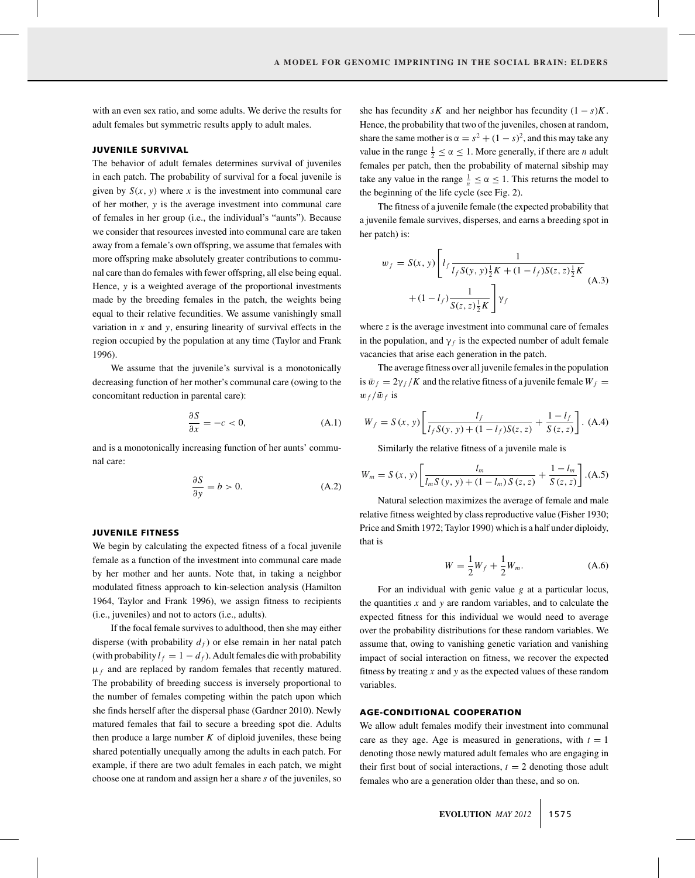with an even sex ratio, and some adults. We derive the results for adult females but symmetric results apply to adult males.

#### **JUVENILE SURVIVAL**

The behavior of adult females determines survival of juveniles in each patch. The probability of survival for a focal juvenile is given by  $S(x, y)$  where x is the investment into communal care of her mother, *y* is the average investment into communal care of females in her group (i.e., the individual's "aunts"). Because we consider that resources invested into communal care are taken away from a female's own offspring, we assume that females with more offspring make absolutely greater contributions to communal care than do females with fewer offspring, all else being equal. Hence, *y* is a weighted average of the proportional investments made by the breeding females in the patch, the weights being equal to their relative fecundities. We assume vanishingly small variation in *x* and *y*, ensuring linearity of survival effects in the region occupied by the population at any time (Taylor and Frank 1996).

We assume that the juvenile's survival is a monotonically decreasing function of her mother's communal care (owing to the concomitant reduction in parental care):

$$
\frac{\partial S}{\partial x} = -c < 0,\tag{A.1}
$$

and is a monotonically increasing function of her aunts' communal care:

$$
\frac{\partial S}{\partial y} = b > 0. \tag{A.2}
$$

#### **JUVENILE FITNESS**

We begin by calculating the expected fitness of a focal juvenile female as a function of the investment into communal care made by her mother and her aunts. Note that, in taking a neighbor modulated fitness approach to kin-selection analysis (Hamilton 1964, Taylor and Frank 1996), we assign fitness to recipients (i.e., juveniles) and not to actors (i.e., adults).

If the focal female survives to adulthood, then she may either disperse (with probability  $d_f$ ) or else remain in her natal patch (with probability  $l_f = 1 - d_f$ ). Adult females die with probability  $\mu_f$  and are replaced by random females that recently matured. The probability of breeding success is inversely proportional to the number of females competing within the patch upon which she finds herself after the dispersal phase (Gardner 2010). Newly matured females that fail to secure a breeding spot die. Adults then produce a large number  $K$  of diploid juveniles, these being shared potentially unequally among the adults in each patch. For example, if there are two adult females in each patch, we might choose one at random and assign her a share *s* of the juveniles, so

she has fecundity *sK* and her neighbor has fecundity  $(1 - s)K$ . Hence, the probability that two of the juveniles, chosen at random, share the same mother is  $\alpha = s^2 + (1 - s)^2$ , and this may take any value in the range  $\frac{1}{2} \le \alpha \le 1$ . More generally, if there are *n* adult females per patch, then the probability of maternal sibship may take any value in the range  $\frac{1}{n} \le \alpha \le 1$ . This returns the model to the beginning of the life cycle (see Fig. 2).

The fitness of a juvenile female (the expected probability that a juvenile female survives, disperses, and earns a breeding spot in her patch) is:

$$
w_f = S(x, y) \left[ l_f \frac{1}{l_f S(y, y) \frac{1}{2} K + (1 - l_f) S(z, z) \frac{1}{2} K} + (1 - l_f) \frac{1}{S(z, z) \frac{1}{2} K} \right]
$$
(A.3)

where *z* is the average investment into communal care of females in the population, and  $\gamma_f$  is the expected number of adult female vacancies that arise each generation in the patch.

The average fitness over all juvenile females in the population is  $\bar{w}_f = 2\gamma_f/K$  and the relative fitness of a juvenile female  $W_f =$  $w_f/\bar{w}_f$  is

$$
W_f = S(x, y) \left[ \frac{l_f}{l_f S(y, y) + (1 - l_f) S(z, z)} + \frac{1 - l_f}{S(z, z)} \right].
$$
 (A.4)

Similarly the relative fitness of a juvenile male is

$$
W_m = S(x, y) \left[ \frac{l_m}{l_m S(y, y) + (1 - l_m) S(z, z)} + \frac{1 - l_m}{S(z, z)} \right].
$$
 (A.5)

Natural selection maximizes the average of female and male relative fitness weighted by class reproductive value (Fisher 1930; Price and Smith 1972; Taylor 1990) which is a half under diploidy, that is

$$
W = \frac{1}{2}W_f + \frac{1}{2}W_m.
$$
 (A.6)

For an individual with genic value *g* at a particular locus, the quantities  $x$  and  $y$  are random variables, and to calculate the expected fitness for this individual we would need to average over the probability distributions for these random variables. We assume that, owing to vanishing genetic variation and vanishing impact of social interaction on fitness, we recover the expected fitness by treating *x* and *y* as the expected values of these random variables.

#### **AGE-CONDITIONAL COOPERATION**

We allow adult females modify their investment into communal care as they age. Age is measured in generations, with  $t = 1$ denoting those newly matured adult females who are engaging in their first bout of social interactions,  $t = 2$  denoting those adult females who are a generation older than these, and so on.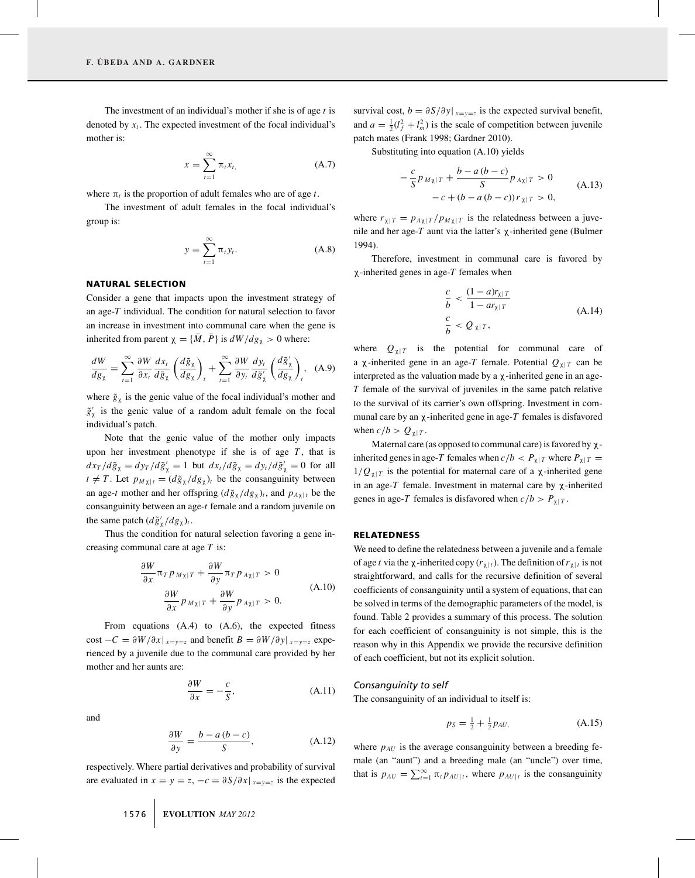The investment of an individual's mother if she is of age *t* is denoted by  $x_t$ . The expected investment of the focal individual's mother is:

$$
x = \sum_{t=1}^{\infty} \pi_t x_t, \tag{A.7}
$$

where  $\pi_t$  is the proportion of adult females who are of age  $t$ .

The investment of adult females in the focal individual's group is:

$$
y = \sum_{t=1}^{\infty} \pi_t y_t.
$$
 (A.8)

#### **NATURAL SELECTION**

Consider a gene that impacts upon the investment strategy of an age-*T* individual. The condition for natural selection to favor an increase in investment into communal care when the gene is inherited from parent  $\chi = {\bar{M}, \bar{P}}$  is  $dW/dg_\chi > 0$  where:

$$
\frac{dW}{dg_{\chi}} = \sum_{t=1}^{\infty} \frac{\partial W}{\partial x_t} \frac{dx_t}{d\tilde{g}_{\chi}} \left(\frac{d\tilde{g}_{\chi}}{dg_{\chi}}\right)_t + \sum_{t=1}^{\infty} \frac{\partial W}{\partial y_t} \frac{dy_t}{d\tilde{g}_{\chi}'} \left(\frac{d\tilde{g}_{\chi}'}{dg_{\chi}}\right)_t, \quad (A.9)
$$

where  $\tilde{g}_{\chi}$  is the genic value of the focal individual's mother and  $\tilde{g}'_{\chi}$  is the genic value of a random adult female on the focal individual's patch.

Note that the genic value of the mother only impacts upon her investment phenotype if she is of age *T* , that is  $dx_T/d\tilde{g}_\chi = dy_T/d\tilde{g}'_\chi = 1$  but  $dx_t/d\tilde{g}_\chi = dy_t/d\tilde{g}'_\chi = 0$  for all  $t \neq T$ . Let  $p_{M\chi|t} = (d\tilde{g}_{\chi}/dg_{\chi})_t$  be the consanguinity between an age-*t* mother and her offspring  $(d\tilde{g}_{\chi}/dg_{\chi})_t$ , and  $p_{A\chi|t}$  be the consanguinity between an age-*t* female and a random juvenile on the same patch  $(d\tilde{g}'_{\chi}/dg_{\chi})_t$ .

Thus the condition for natural selection favoring a gene increasing communal care at age *T* is:

$$
\frac{\partial W}{\partial x} \pi_T p_{M\chi|T} + \frac{\partial W}{\partial y} \pi_T p_{A\chi|T} > 0
$$
\n
$$
\frac{\partial W}{\partial x} p_{M\chi|T} + \frac{\partial W}{\partial y} p_{A\chi|T} > 0.
$$
\n(A.10)

From equations (A.4) to (A.6), the expected fitness cost  $-C = \partial W / \partial x |_{x=y=z}$  and benefit  $B = \partial W / \partial y |_{x=y=z}$  experienced by a juvenile due to the communal care provided by her mother and her aunts are:

$$
\frac{\partial W}{\partial x} = -\frac{c}{S},\tag{A.11}
$$

and

$$
\frac{\partial W}{\partial y} = \frac{b - a(b - c)}{S},
$$
 (A.12)

respectively. Where partial derivatives and probability of survival are evaluated in  $x = y = z$ ,  $-c = \frac{\partial S}{\partial x}|_{x=y=z}$  is the expected survival cost,  $b = \frac{\partial S}{\partial y}\big|_{x=y=z}$  is the expected survival benefit, and  $a = \frac{1}{2}(l_f^2 + l_m^2)$  is the scale of competition between juvenile patch mates (Frank 1998; Gardner 2010).

Substituting into equation (A.10) yields

$$
-\frac{c}{S}p_{M\chi|T} + \frac{b-a(b-c)}{S}p_{A\chi|T} > 0
$$
  

$$
-c + (b-a(b-c))r_{\chi|T} > 0,
$$
 (A.13)

where  $r_{\chi|T} = p_{A\chi|T}/p_{M\chi|T}$  is the relatedness between a juvenile and her age-*T* aunt via the latter's χ-inherited gene (Bulmer 1994).

Therefore, investment in communal care is favored by χ-inherited genes in age-*T* females when

$$
\frac{c}{b} < \frac{(1-a)r_{\chi|T}}{1 - ar_{\chi|T}} \\
\frac{c}{b} < Q_{\chi|T},
$$
\n(A.14)

where  $Q_{\chi|T}$  is the potential for communal care of a  $\chi$ -inherited gene in an age-*T* female. Potential  $Q_{\chi|T}$  can be interpreted as the valuation made by a  $\chi$ -inherited gene in an age-*T* female of the survival of juveniles in the same patch relative to the survival of its carrier's own offspring. Investment in communal care by an χ-inherited gene in age-*T* females is disfavored when  $c/b > Q_{\gamma|T}$ .

Maternal care (as opposed to communal care) is favored byχinherited genes in age-*T* females when  $c/b < P_{\chi|T}$  where  $P_{\chi|T}$  $1/Q_{\chi}|_T$  is the potential for maternal care of a  $\chi$ -inherited gene in an age- $T$  female. Investment in maternal care by  $\chi$ -inherited genes in age-*T* females is disfavored when  $c/b > P_{\chi|T}$ .

#### **RELATEDNESS**

We need to define the relatedness between a juvenile and a female of age *t* via the χ-inherited copy  $(r_{χ|t})$ . The definition of  $r_{χ|t}$  is not straightforward, and calls for the recursive definition of several coefficients of consanguinity until a system of equations, that can be solved in terms of the demographic parameters of the model, is found. Table 2 provides a summary of this process. The solution for each coefficient of consanguinity is not simple, this is the reason why in this Appendix we provide the recursive definition of each coefficient, but not its explicit solution.

#### *Consanguinity to self*

The consanguinity of an individual to itself is:

$$
p_S = \frac{1}{2} + \frac{1}{2} p_{AU}, \tag{A.15}
$$

where  $p_{AU}$  is the average consanguinity between a breeding female (an "aunt") and a breeding male (an "uncle") over time, that is  $p_{AU} = \sum_{t=1}^{\infty} \pi_t p_{AU|t}$ , where  $p_{AU|t}$  is the consanguinity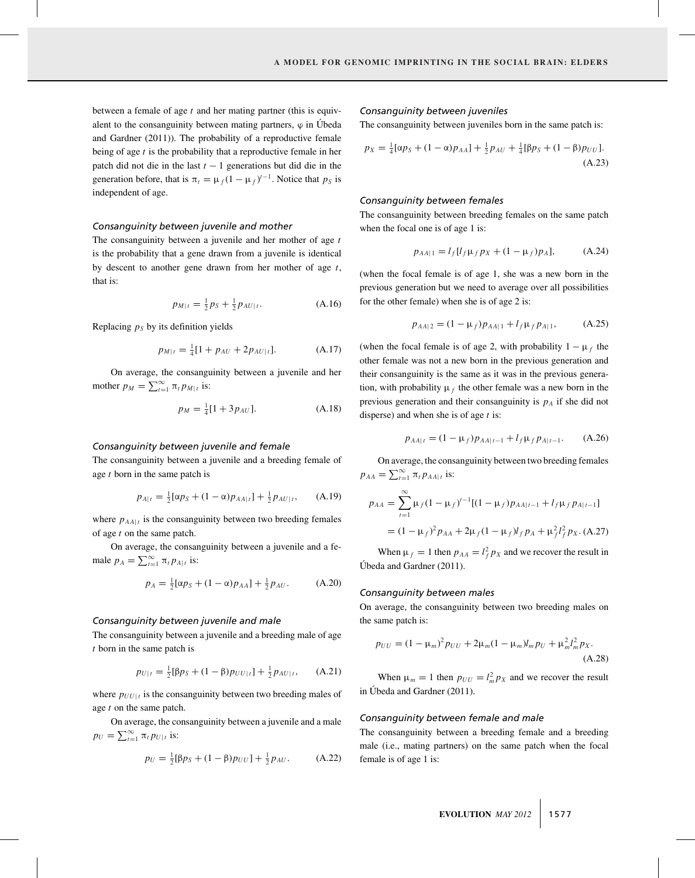between a female of age *t* and her mating partner (this is equivalent to the consanguinity between mating partners,  $\varphi$  in Ubeda and Gardner (2011)). The probability of a reproductive female being of age *t* is the probability that a reproductive female in her patch did not die in the last  $t - 1$  generations but did die in the generation before, that is  $\pi_t = \mu_f (1 - \mu_f)^{t-1}$ . Notice that  $p_s$  is independent of age.

#### *Consanguinity between juvenile and mother*

The consanguinity between a juvenile and her mother of age *t* is the probability that a gene drawn from a juvenile is identical by descent to another gene drawn from her mother of age *t*, that is:

$$
p_{M|t} = \frac{1}{2}p_S + \frac{1}{2}p_{AU|t}.
$$
 (A.16)

Replacing *pS* by its definition yields

$$
p_{M|t} = \frac{1}{4} [1 + p_{AU} + 2p_{AU|t}]. \tag{A.17}
$$

On average, the consanguinity between a juvenile and her mother  $p_M = \sum_{t=1}^{\infty} \pi_t p_{M|t}$  is:

$$
p_M = \frac{1}{4} [1 + 3p_{AU}]. \tag{A.18}
$$

#### *Consanguinity between juvenile and female*

The consanguinity between a juvenile and a breeding female of age *t* born in the same patch is

$$
p_{A|t} = \frac{1}{2} [\alpha p_S + (1 - \alpha) p_{AA|t}] + \frac{1}{2} p_{AU|t}, \quad (A.19)
$$

where  $p_{AA|t}$  is the consanguinity between two breeding females of age *t* on the same patch.

On average, the consanguinity between a juvenile and a female  $p_A = \sum_{t=1}^{\infty} \pi_t p_{A|t}$  is:

$$
p_A = \frac{1}{2} [\alpha p_S + (1 - \alpha) p_{AA}] + \frac{1}{2} p_{AU}. \tag{A.20}
$$

#### *Consanguinity between juvenile and male*

The consanguinity between a juvenile and a breeding male of age *t* born in the same patch is

$$
p_{U|t} = \frac{1}{2} [\beta p_S + (1 - \beta) p_{UU|t}] + \frac{1}{2} p_{AU|t}, \quad (A.21)
$$

where  $p_{UU|t}$  is the consanguinity between two breeding males of age *t* on the same patch.

On average, the consanguinity between a juvenile and a male  $p_U = \sum_{t=1}^{\infty} \pi_t p_{U|t}$  is:

$$
p_U = \frac{1}{2} [\beta p_S + (1 - \beta) p_{UU}] + \frac{1}{2} p_{AU}. \tag{A.22}
$$

#### *Consanguinity between juveniles*

The consanguinity between juveniles born in the same patch is:

$$
p_X = \frac{1}{4} [\alpha p_S + (1 - \alpha) p_{AA}] + \frac{1}{2} p_{AU} + \frac{1}{4} [\beta p_S + (1 - \beta) p_{UU}].
$$
\n(A.23)

#### *Consanguinity between females*

The consanguinity between breeding females on the same patch when the focal one is of age 1 is:

$$
p_{AA|1} = l_f[l_f \mu_f p_X + (1 - \mu_f) p_A], \tag{A.24}
$$

(when the focal female is of age 1, she was a new born in the previous generation but we need to average over all possibilities for the other female) when she is of age 2 is:

$$
p_{AA|2} = (1 - \mu_f) p_{AA|1} + l_f \mu_f p_{A|1}, \tag{A.25}
$$

(when the focal female is of age 2, with probability  $1 - \mu_f$  the other female was not a new born in the previous generation and their consanguinity is the same as it was in the previous generation, with probability  $\mu_f$  the other female was a new born in the previous generation and their consanguinity is  $p_A$  if she did not disperse) and when she is of age *t* is:

$$
p_{AA|t} = (1 - \mu_f) p_{AA|t-1} + l_f \mu_f p_{A|t-1}.
$$
 (A.26)

On average, the consanguinity between two breeding females  $p_{AA} = \sum_{t=1}^{\infty} \pi_t p_{AA|t}$  is:

$$
p_{AA} = \sum_{t=1}^{\infty} \mu_f (1 - \mu_f)^{t-1} [(1 - \mu_f) p_{AA|t-1} + l_f \mu_f p_{A|t-1}]
$$
  
=  $(1 - \mu_f)^2 p_{AA} + 2\mu_f (1 - \mu_f) l_f p_A + \mu_f^2 l_f^2 p_X$ . (A.27)

When  $\mu_f = 1$  then  $p_{AA} = l_f^2 p_X$  and we recover the result in Úbeda and Gardner  $(2011)$ .

#### *Consanguinity between males*

On average, the consanguinity between two breeding males on the same patch is:

$$
p_{UU} = (1 - \mu_m)^2 p_{UU} + 2\mu_m (1 - \mu_m) l_m p_U + \mu_m^2 l_m^2 p_X.
$$
\n(A.28)

When  $\mu_m = 1$  then  $p_{UU} = l_m^2 p_X$  and we recover the result in Úbeda and Gardner (2011).

#### *Consanguinity between female and male*

The consanguinity between a breeding female and a breeding male (i.e., mating partners) on the same patch when the focal female is of age 1 is: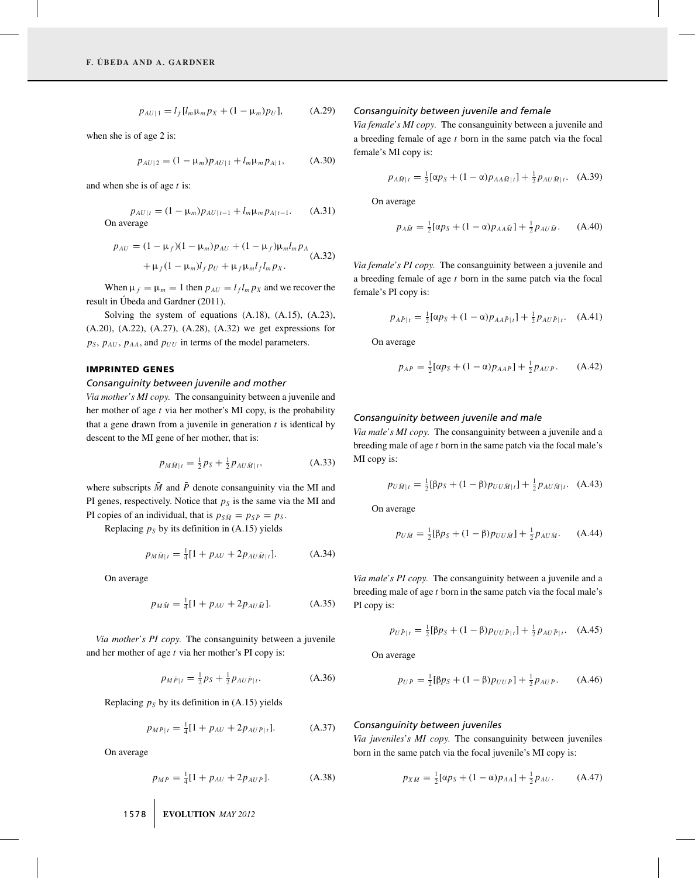$$
p_{AU|1} = l_f[l_m \mu_m p_X + (1 - \mu_m) p_U], \quad (A.29)
$$

when she is of age 2 is:

$$
p_{AU|2} = (1 - \mu_m)p_{AU|1} + l_m \mu_m p_{A|1}, \tag{A.30}
$$

and when she is of age *t* is:

$$
p_{AU|t} = (1 - \mu_m)p_{AU|t-1} + l_m \mu_m p_{A|t-1}.
$$
 (A.31)  
On average

$$
p_{AU} = (1 - \mu_f)(1 - \mu_m)p_{AU} + (1 - \mu_f)\mu_m l_m p_A
$$
  
+ 
$$
\mu_f(1 - \mu_m)l_f p_U + \mu_f \mu_m l_f l_m p_X.
$$
 (A.32)

When  $\mu_f = \mu_m = 1$  then  $p_{AU} = l_f l_m p_X$  and we recover the result in Úbeda and Gardner (2011).

Solving the system of equations (A.18), (A.15), (A.23), (A.20), (A.22), (A.27), (A.28), (A.32) we get expressions for  $p_S$ ,  $p_{AU}$ ,  $p_{AA}$ , and  $p_{UU}$  in terms of the model parameters.

### **IMPRINTED GENES**

#### *Consanguinity between juvenile and mother*

*Via mother's MI copy.* The consanguinity between a juvenile and her mother of age *t* via her mother's MI copy, is the probability that a gene drawn from a juvenile in generation  $t$  is identical by descent to the MI gene of her mother, that is:

$$
p_{M\bar{M}|t} = \frac{1}{2}p_S + \frac{1}{2}p_{AU\bar{M}|t},
$$
 (A.33)

where subscripts  $\bar{M}$  and  $\bar{P}$  denote consanguinity via the MI and PI genes, respectively. Notice that  $p<sub>S</sub>$  is the same via the MI and PI copies of an individual, that is  $p_{S\bar{M}} = p_{\bar{S}} = p_S$ .

Replacing  $p<sub>S</sub>$  by its definition in (A.15) yields

$$
p_{M\bar{M}|t} = \frac{1}{4}[1 + p_{AU} + 2p_{AU\bar{M}|t}].
$$
 (A.34)

On average

$$
p_{M\bar{M}} = \frac{1}{4} [1 + p_{AU} + 2p_{AU\bar{M}}]. \tag{A.35}
$$

*Via mother's PI copy.* The consanguinity between a juvenile and her mother of age *t* via her mother's PI copy is:

$$
p_{M\bar{P}|t} = \frac{1}{2}p_S + \frac{1}{2}p_{AU\bar{P}|t}.
$$
 (A.36)

Replacing  $p<sub>S</sub>$  by its definition in (A.15) yields

$$
p_{M\bar{P}|t} = \frac{1}{4} [1 + p_{AU} + 2p_{AU\bar{P}|t}]. \tag{A.37}
$$

On average

$$
p_{M\bar{P}} = \frac{1}{4} [1 + p_{AU} + 2p_{AU\bar{P}}]. \tag{A.38}
$$

#### *Consanguinity between juvenile and female*

*Via female's MI copy.* The consanguinity between a juvenile and a breeding female of age *t* born in the same patch via the focal female's MI copy is:

$$
p_{A\bar{M}|t} = \frac{1}{2} [\alpha p_S + (1 - \alpha) p_{A A \bar{M}|t}] + \frac{1}{2} p_{A U \bar{M}|t}. \quad (A.39)
$$

On average

$$
p_{A\bar{M}} = \frac{1}{2} [\alpha p_S + (1 - \alpha) p_{A A \bar{M}}] + \frac{1}{2} p_{A U \bar{M}}.
$$
 (A.40)

*Via female's PI copy.* The consanguinity between a juvenile and a breeding female of age *t* born in the same patch via the focal female's PI copy is:

$$
p_{A\bar{P}|t} = \frac{1}{2} [\alpha p_S + (1 - \alpha) p_{A A\bar{P}|t}] + \frac{1}{2} p_{A U\bar{P}|t}. \quad (A.41)
$$

On average

$$
p_{A\bar{P}} = \frac{1}{2} [\alpha p_S + (1 - \alpha) p_{AA\bar{P}}] + \frac{1}{2} p_{A U\bar{P}}.
$$
 (A.42)

#### *Consanguinity between juvenile and male*

*Via male's MI copy.* The consanguinity between a juvenile and a breeding male of age *t* born in the same patch via the focal male's MI copy is:

$$
p_{U\bar{M}|t} = \frac{1}{2} [\beta p_S + (1 - \beta) p_{UU\bar{M}|t}] + \frac{1}{2} p_{AU\bar{M}|t}. \quad (A.43)
$$

On average

$$
p_{U\bar{M}} = \frac{1}{2} [\beta p_S + (1 - \beta) p_{UU\bar{M}}] + \frac{1}{2} p_{AU\bar{M}}.
$$
 (A.44)

*Via male's PI copy.* The consanguinity between a juvenile and a breeding male of age *t* born in the same patch via the focal male's PI copy is:

$$
p_{U\bar{P}|t} = \frac{1}{2} [\beta p_S + (1 - \beta) p_{UU\bar{P}|t}] + \frac{1}{2} p_{AU\bar{P}|t}. \quad (A.45)
$$

On average

$$
p_{U\bar{P}} = \frac{1}{2} [\beta p_S + (1 - \beta) p_{UU\bar{P}}] + \frac{1}{2} p_{AU\bar{P}}.
$$
 (A.46)

#### *Consanguinity between juveniles*

*Via juveniles's MI copy.* The consanguinity between juveniles born in the same patch via the focal juvenile's MI copy is:

$$
p_{X\bar{M}} = \frac{1}{2} [\alpha p_S + (1 - \alpha) p_{AA}] + \frac{1}{2} p_{AU}. \tag{A.47}
$$

1578 **EVOLUTION** *MAY 2012*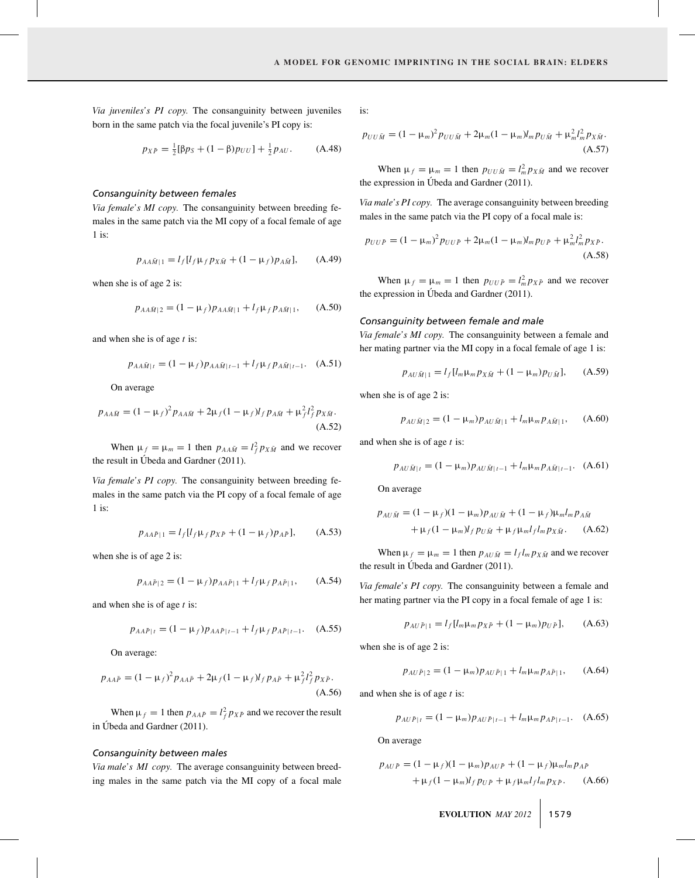*Via juveniles's PI copy.* The consanguinity between juveniles born in the same patch via the focal juvenile's PI copy is:

$$
p_{X\bar{P}} = \frac{1}{2} [\beta p_S + (1 - \beta) p_{UU}] + \frac{1}{2} p_{AU}. \tag{A.48}
$$

#### *Consanguinity between females*

*Via female's MI copy.* The consanguinity between breeding females in the same patch via the MI copy of a focal female of age 1 is:

$$
p_{AA\bar{M}|1} = l_f[l_f\mu_f p_{X\bar{M}} + (1 - \mu_f)p_{A\bar{M}}], \quad (A.49)
$$

when she is of age 2 is:

$$
p_{AA\bar{M}|2} = (1 - \mu_f) p_{AA\bar{M}|1} + l_f \mu_f p_{A\bar{M}|1}, \quad (A.50)
$$

and when she is of age *t* is:

$$
p_{AA\bar{M}|t} = (1 - \mu_f) p_{AA\bar{M}|t-1} + l_f \mu_f p_{A\bar{M}|t-1}. \quad (A.51)
$$

On average

$$
p_{AA\bar{M}} = (1 - \mu_f)^2 p_{AA\bar{M}} + 2\mu_f (1 - \mu_f) l_f p_{A\bar{M}} + \mu_f^2 l_f^2 p_{X\bar{M}}.
$$
\n(A.52)

When  $\mu_f = \mu_m = 1$  then  $p_{AA\bar{M}} = l_f^2 p_{X\bar{M}}$  and we recover the result in Úbeda and Gardner  $(2011)$ .

*Via female's PI copy.* The consanguinity between breeding females in the same patch via the PI copy of a focal female of age 1 is:

$$
p_{AA\bar{P}|1} = l_f[l_f\mu_f p_{X\bar{P}} + (1 - \mu_f)p_{A\bar{P}}], \quad (A.53)
$$

when she is of age 2 is:

$$
p_{AA\bar{P}|2} = (1 - \mu_f) p_{AA\bar{P}|1} + l_f \mu_f p_{A\bar{P}|1}, \qquad (A.54)
$$

and when she is of age *t* is:

$$
p_{AA\bar{P}|t} = (1 - \mu_f) p_{AA\bar{P}|t-1} + l_f \mu_f p_{A\bar{P}|t-1}.
$$
 (A.55)

On average:

$$
p_{AA\bar{P}} = (1 - \mu_f)^2 p_{AA\bar{P}} + 2\mu_f (1 - \mu_f) l_f p_{A\bar{P}} + \mu_f^2 l_f^2 p_{X\bar{P}}.
$$
\n(A.56)

When  $\mu_f = 1$  then  $p_{AA\bar{P}} = l_f^2 p_{X\bar{P}}$  and we recover the result in Úbeda and Gardner  $(2011)$ .

#### *Consanguinity between males*

*Via male's MI copy.* The average consanguinity between breeding males in the same patch via the MI copy of a focal male is:

$$
p_{UU\bar{M}} = (1 - \mu_m)^2 p_{UU\bar{M}} + 2\mu_m (1 - \mu_m) l_m p_{U\bar{M}} + \mu_m^2 l_m^2 p_{X\bar{M}}.
$$
\n(A.57)

When  $\mu_f = \mu_m = 1$  then  $p_{UU\bar{M}} = l_m^2 p_{X\bar{M}}$  and we recover the expression in Úbeda and Gardner (2011).

*Via male's PI copy.* The average consanguinity between breeding males in the same patch via the PI copy of a focal male is:

$$
p_{UU\bar{P}} = (1 - \mu_m)^2 p_{UU\bar{P}} + 2\mu_m (1 - \mu_m)l_m p_{U\bar{P}} + \mu_m^2 l_m^2 p_{X\bar{P}}.
$$
\n(A.58)

When  $\mu_f = \mu_m = 1$  then  $p_{UU\bar{P}} = l_m^2 p_{X\bar{P}}$  and we recover the expression in Úbeda and Gardner (2011).

#### *Consanguinity between female and male*

*Via female's MI copy.* The consanguinity between a female and her mating partner via the MI copy in a focal female of age 1 is:

$$
p_{AU\bar{M}|1} = l_f[l_m \mu_m p_{X\bar{M}} + (1 - \mu_m) p_{U\bar{M}}], \quad (A.59)
$$

when she is of age 2 is:

$$
p_{AU\bar{M}|2} = (1 - \mu_m)p_{AU\bar{M}|1} + l_m\mu_m p_{A\bar{M}|1}, \quad (A.60)
$$

and when she is of age *t* is:

$$
p_{AU\bar{M}|t} = (1 - \mu_m)p_{AU\bar{M}|t-1} + l_m\mu_m p_{A\bar{M}|t-1}.
$$
 (A.61)

On average

$$
p_{AU\bar{M}} = (1 - \mu_f)(1 - \mu_m)p_{AU\bar{M}} + (1 - \mu_f)\mu_m l_m p_{A\bar{M}}
$$
  
+ 
$$
\mu_f(1 - \mu_m)l_f p_{U\bar{M}} + \mu_f \mu_m l_f l_m p_{X\bar{M}}.
$$
 (A.62)

When  $\mu_f = \mu_m = 1$  then  $p_{AU\bar{M}} = l_f l_m p_{X\bar{M}}$  and we recover the result in Úbeda and Gardner (2011).

*Via female's PI copy.* The consanguinity between a female and her mating partner via the PI copy in a focal female of age 1 is:

$$
p_{AU\bar{P}|1} = l_f[l_m \mu_m p_{X\bar{P}} + (1 - \mu_m) p_{U\bar{P}}], \quad (A.63)
$$

when she is of age 2 is:

$$
p_{AU\bar{P}|2} = (1 - \mu_m)p_{AU\bar{P}|1} + l_m\mu_m p_{A\bar{P}|1}, \quad (A.64)
$$

and when she is of age *t* is:

$$
p_{AU\bar{P}|t} = (1 - \mu_m)p_{AU\bar{P}|t-1} + l_m\mu_m p_{A\bar{P}|t-1}. \quad (A.65)
$$

On average

$$
p_{AU\bar{P}} = (1 - \mu_f)(1 - \mu_m)p_{AU\bar{P}} + (1 - \mu_f)\mu_m l_m p_{A\bar{P}}
$$
  
+ 
$$
\mu_f (1 - \mu_m)l_f p_{U\bar{P}} + \mu_f \mu_m l_f l_m p_{X\bar{P}}.
$$
 (A.66)

**EVOLUTION** *MAY 2012* 1579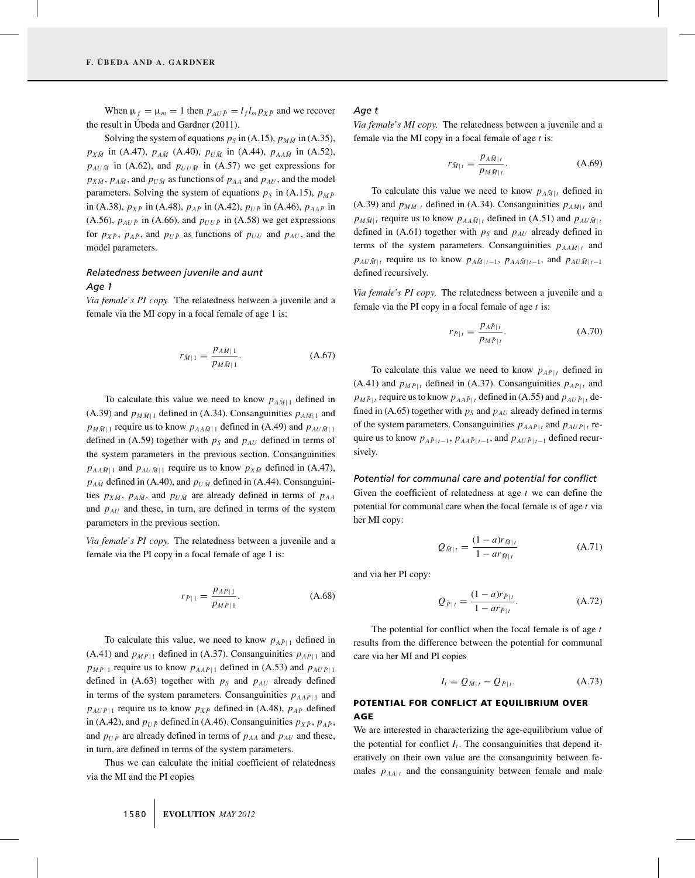When  $\mu_f = \mu_m = 1$  then  $p_{AUP} = l_f l_m p_{XP}$  and we recover the result in Úbeda and Gardner (2011).

Solving the system of equations  $p_S$  in (A.15),  $p_{M\bar{M}}$  in (A.35),  $p_{X\bar{M}}$  in (A.47),  $p_{A\bar{M}}$  (A.40),  $p_{U\bar{M}}$  in (A.44),  $p_{A\bar{M}}$  in (A.52),  $p_{AU\bar{M}}$  in (A.62), and  $p_{UU\bar{M}}$  in (A.57) we get expressions for  $p_{X\bar{M}}$ ,  $p_{A\bar{M}}$ , and  $p_{U\bar{M}}$  as functions of  $p_{AA}$  and  $p_{AU}$ , and the model parameters. Solving the system of equations  $p_S$  in (A.15),  $p_{M\bar{P}}$ in (A.38),  $p_{X\bar{P}}$  in (A.48),  $p_{A\bar{P}}$  in (A.42),  $p_{U\bar{P}}$  in (A.46),  $p_{AA\bar{P}}$  in (A.56),  $p_{AU\bar{P}}$  in (A.66), and  $p_{UU\bar{P}}$  in (A.58) we get expressions for  $p_{\overline{X}} p$ ,  $p_{\overline{A}} p$ , and  $p_{\overline{U}} p$  as functions of  $p_{\overline{U}} p$  and  $p_{\overline{A}} p$ , and the model parameters.

## *Relatedness between juvenile and aunt Age 1*

*Via female's PI copy.* The relatedness between a juvenile and a female via the MI copy in a focal female of age 1 is:

$$
r_{\bar{M}|1} = \frac{p_{A\bar{M}|1}}{p_{M\bar{M}|1}}.\tag{A.67}
$$

To calculate this value we need to know  $p_{A\bar{M}+1}$  defined in (A.39) and  $p_{M\bar{M}+1}$  defined in (A.34). Consanguinities  $p_{A\bar{M}+1}$  and  $p_{M\bar{M}|1}$  require us to know  $p_{AA\bar{M}|1}$  defined in (A.49) and  $p_{AU\bar{M}|1}$ defined in (A.59) together with  $p<sub>S</sub>$  and  $p<sub>AU</sub>$  defined in terms of the system parameters in the previous section. Consanguinities  $p_{AA\bar{M}|1}$  and  $p_{AU\bar{M}|1}$  require us to know  $p_{X\bar{M}}$  defined in (A.47),  $p_{A\bar{M}}$  defined in (A.40), and  $p_{U\bar{M}}$  defined in (A.44). Consanguinities  $p_{X\bar{M}}$ ,  $p_{A\bar{M}}$ , and  $p_{U\bar{M}}$  are already defined in terms of  $p_{AA}$ and  $p_{AU}$  and these, in turn, are defined in terms of the system parameters in the previous section.

*Via female's PI copy.* The relatedness between a juvenile and a female via the PI copy in a focal female of age 1 is:

$$
r_{\bar{P}|1} = \frac{p_{A\bar{P}|1}}{p_{M\bar{P}|1}}.\tag{A.68}
$$

To calculate this value, we need to know  $p_{\bar{A}P\perp 1}$  defined in (A.41) and  $p_{MP|1}$  defined in (A.37). Consanguinities  $p_{AP|1}$  and  $p_{M\bar{P}+1}$  require us to know  $p_{AA\bar{P}+1}$  defined in (A.53) and  $p_{AU\bar{P}+1}$ defined in  $(A.63)$  together with  $p<sub>S</sub>$  and  $p<sub>AU</sub>$  already defined in terms of the system parameters. Consanguinities  $p_{AA\bar{P}11}$  and  $p_{AU\bar{P}11}$  require us to know  $p_{X\bar{P}}$  defined in (A.48),  $p_{A\bar{P}}$  defined in (A.42), and  $p_{U\bar{P}}$  defined in (A.46). Consanguinities  $p_{X\bar{P}}$ ,  $p_{A\bar{P}}$ , and  $p_{U\bar{P}}$  are already defined in terms of  $p_{AA}$  and  $p_{AU}$  and these, in turn, are defined in terms of the system parameters.

Thus we can calculate the initial coefficient of relatedness via the MI and the PI copies

#### *Age t*

*Via female's MI copy.* The relatedness between a juvenile and a female via the MI copy in a focal female of age *t* is:

$$
r_{\bar{M}|t} = \frac{p_{A\bar{M}|t}}{p_{M\bar{M}|t}}.\tag{A.69}
$$

To calculate this value we need to know  $p_{A\bar{M}|t}$  defined in (A.39) and  $p_{M\bar{M}|t}$  defined in (A.34). Consanguinities  $p_{A\bar{M}|t}$  and  $p_{M\bar{M}|t}$  require us to know  $p_{AA\bar{M}|t}$  defined in (A.51) and  $p_{AU\bar{M}|t}$ defined in  $(A.61)$  together with  $p<sub>S</sub>$  and  $p<sub>AU</sub>$  already defined in terms of the system parameters. Consanguinities  $p_{AA\bar{M}|t}$  and  $p_{AU\bar{M}|t}$  require us to know  $p_{A\bar{M}|t-1}$ ,  $p_{AA\bar{M}|t-1}$ , and  $p_{AU\bar{M}|t-1}$ defined recursively.

*Via female's PI copy.* The relatedness between a juvenile and a female via the PI copy in a focal female of age *t* is:

$$
r_{\bar{P}|t} = \frac{p_{A\bar{P}|t}}{p_{M\bar{P}|t}}.\tag{A.70}
$$

To calculate this value we need to know  $p_{\hat{A}P|t}$  defined in  $(A.41)$  and  $p_{M\bar{P}$ <sub>1</sub> defined in  $(A.37)$ . Consanguinities  $p_{A\bar{P}$ <sub>1</sub> and  $p_{M\bar{P}|t}$  require us to know  $p_{AA\bar{P}|t}$  defined in (A.55) and  $p_{AU\bar{P}|t}$  defined in (A.65) together with  $p<sub>S</sub>$  and  $p<sub>AU</sub>$  already defined in terms of the system parameters. Consanguinities  $p_{AA\bar{P}|t}$  and  $p_{AU\bar{P}|t}$  require us to know  $p_{\hat{AP} | t-1}$ ,  $p_{\hat{AP} | t-1}$ , and  $p_{\hat{A}U\hat{P} | t-1}$  defined recursively.

#### *Potential for communal care and potential for conflict*

Given the coefficient of relatedness at age *t* we can define the potential for communal care when the focal female is of age *t* via her MI copy:

$$
Q_{\bar{M}|t} = \frac{(1-a)r_{\bar{M}|t}}{1 - ar_{\bar{M}|t}}
$$
(A.71)

and via her PI copy:

$$
Q_{\bar{P}|t} = \frac{(1-a)r_{\bar{P}|t}}{1 - ar_{\bar{P}|t}}.
$$
\n(A.72)

The potential for conflict when the focal female is of age *t* results from the difference between the potential for communal care via her MI and PI copies

$$
I_t = Q_{\bar{M}|t} - Q_{\bar{P}|t}.
$$
 (A.73)

#### **POTENTIAL FOR CONFLICT AT EQUILIBRIUM OVER AGE**

We are interested in characterizing the age-equilibrium value of the potential for conflict  $I_t$ . The consanguinities that depend iteratively on their own value are the consanguinity between females  $p_{AA|t}$  and the consanguinity between female and male